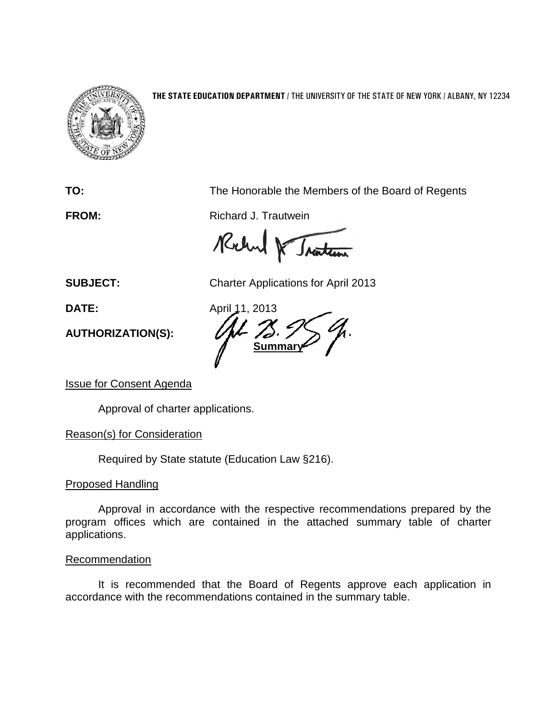

**THE STATE EDUCATION DEPARTMENT** / THE UNIVERSITY OF THE STATE OF NEW YORK / ALBANY, NY 12234

**TO:** The Honorable the Members of the Board of Regents

**FROM:** Richard J. Trautwein

Rocked & Traiten

**SUBJECT:** Charter Applications for April 2013

**AUTHORIZATION(S):**

**DATE:** April 11, 2013 **Summar** 

Issue for Consent Agenda

Approval of charter applications.

Reason(s) for Consideration

Required by State statute (Education Law §216).

## Proposed Handling

Approval in accordance with the respective recommendations prepared by the program offices which are contained in the attached summary table of charter applications.

## **Recommendation**

It is recommended that the Board of Regents approve each application in accordance with the recommendations contained in the summary table.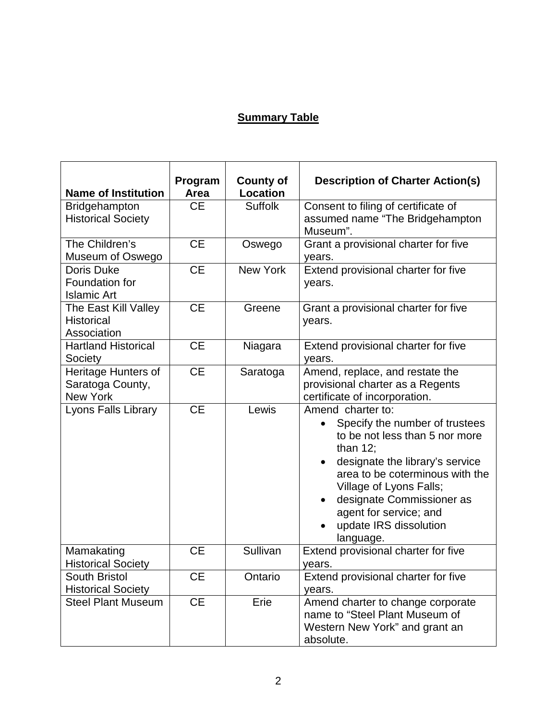## **Summary Table**

| <b>Name of Institution</b>                                 | Program<br>Area | <b>County of</b><br><b>Location</b> | <b>Description of Charter Action(s)</b>                                                                                                                                                                                                                                                                                       |
|------------------------------------------------------------|-----------------|-------------------------------------|-------------------------------------------------------------------------------------------------------------------------------------------------------------------------------------------------------------------------------------------------------------------------------------------------------------------------------|
| Bridgehampton<br><b>Historical Society</b>                 | <b>CE</b>       | <b>Suffolk</b>                      | Consent to filing of certificate of<br>assumed name "The Bridgehampton<br>Museum".                                                                                                                                                                                                                                            |
| The Children's<br>Museum of Oswego                         | <b>CE</b>       | Oswego                              | Grant a provisional charter for five<br>years.                                                                                                                                                                                                                                                                                |
| <b>Doris Duke</b><br>Foundation for<br><b>Islamic Art</b>  | <b>CE</b>       | <b>New York</b>                     | Extend provisional charter for five<br>years.                                                                                                                                                                                                                                                                                 |
| The East Kill Valley<br><b>Historical</b><br>Association   | <b>CE</b>       | Greene                              | Grant a provisional charter for five<br>years.                                                                                                                                                                                                                                                                                |
| <b>Hartland Historical</b><br>Society                      | <b>CE</b>       | Niagara                             | Extend provisional charter for five<br>years.                                                                                                                                                                                                                                                                                 |
| Heritage Hunters of<br>Saratoga County,<br><b>New York</b> | <b>CE</b>       | Saratoga                            | Amend, replace, and restate the<br>provisional charter as a Regents<br>certificate of incorporation.                                                                                                                                                                                                                          |
| Lyons Falls Library                                        | <b>CE</b>       | Lewis                               | Amend charter to:<br>Specify the number of trustees<br>$\bullet$<br>to be not less than 5 nor more<br>than $12$ ;<br>designate the library's service<br>area to be coterminous with the<br>Village of Lyons Falls;<br>designate Commissioner as<br>$\bullet$<br>agent for service; and<br>update IRS dissolution<br>language. |
| Mamakating<br><b>Historical Society</b>                    | <b>CE</b>       | Sullivan                            | Extend provisional charter for five<br>years.                                                                                                                                                                                                                                                                                 |
| <b>South Bristol</b><br><b>Historical Society</b>          | СE              | Ontario                             | Extend provisional charter for five<br>years.                                                                                                                                                                                                                                                                                 |
| <b>Steel Plant Museum</b>                                  | <b>CE</b>       | Erie                                | Amend charter to change corporate<br>name to "Steel Plant Museum of<br>Western New York" and grant an<br>absolute.                                                                                                                                                                                                            |